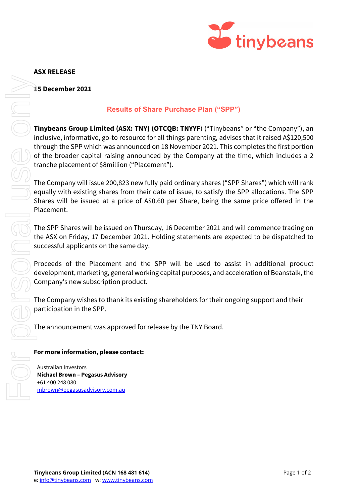

## **ASX RELEASE**

**15 December 2021**

## **Results of Share Purchase Plan ("SPP")**

**Tinybeans Group Limited (ASX: TNY) (OTCQB: TNYYF**) ("Tinybeans" or "the Company"), an inclusive, informative, go-to resource for all things parenting, advises that it raised A\$120,500 through the SPP which was announced on 18 November 2021. This completes the first portion of the broader capital raising announced by the Company at the time, which includes a 2 tranche placement of \$8million ("Placement").

The Company will issue 200,823 new fully paid ordinary shares ("SPP Shares") which will rank equally with existing shares from their date of issue, to satisfy the SPP allocations. The SPP Shares will be issued at a price of A\$0.60 per Share, being the same price offered in the Placement.

The SPP Shares will be issued on Thursday, 16 December 2021 and will commence trading on the ASX on Friday, 17 December 2021. Holding statements are expected to be dispatched to successful applicants on the same day.

Proceeds of the Placement and the SPP will be used to assist in additional product development, marketing, general working capital purposes, and acceleration of Beanstalk, the Company's new subscription product.

The Company wishes to thank its existing shareholders for their ongoing support and their participation in the SPP.

The announcement was approved for release by the TNY Board.

## **For more information, please contact:**

Australian Investors **Michael Brown – Pegasus Advisory** +61 400 248 080 [mbrown@pegasusadvisory.com.au](mailto:mbrown@pegasusadvisory.com.au)